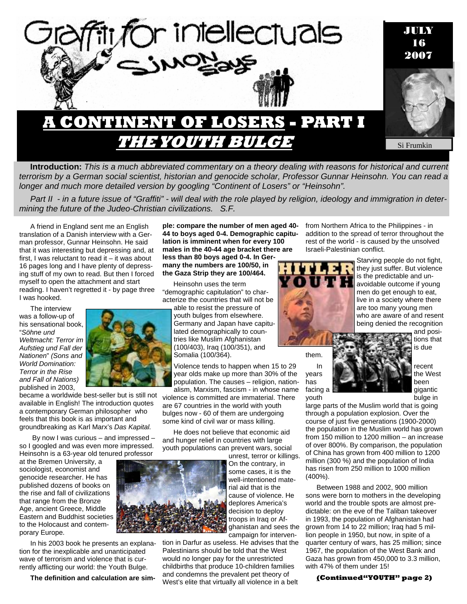

**Introduction:** *This is a much abbreviated commentary on a theory dealing with reasons for historical and current terrorism by a German social scientist, historian and genocide scholar, Professor Gunnar Heinsohn. You can read a longer and much more detailed version by googling "Continent of Losers" or "Heinsohn".* 

*Part II - in a future issue of "Graffiti" - will deal with the role played by religion, ideology and immigration in determining the future of the Judeo-Christian civilizations. S.F.* 

A friend in England sent me an English translation of a Danish interview with a German professor, Gunnar Heinsohn. He said that it was interesting but depressing and, at first, I was reluctant to read it – it was about 16 pages long and I have plenty of depressing stuff of my own to read. But then I forced myself to open the attachment and start reading. I haven't regretted it - by page three I was hooked.

The interview was a follow-up of his sensational book, "*Söhne und Weltmacht: Terror im Aufstieg und Fall der Nationen*" *(Sons and World Domination: Terror in the Rise and Fall of Nations)*  published in 2003,



became a worldwide best-seller but is still not available in English! The introduction quotes a contemporary German philosopher who feels that this book is as important and groundbreaking as Karl Marx's *Das Kapital.* 

 By now I was curious – and impressed – so I googled and was even more impressed. Heinsohn is a 63-year old tenured professor

at the Bremen University, a sociologist, economist and genocide researcher. He has published dozens of books on the rise and fall of civilizations that range from the Bronze Age, ancient Greece, Middle Eastern and Buddhist societies to the Holocaust and contemporary Europe.

In his 2003 book he presents an explanation for the inexplicable and unanticipated wave of terrorism and violence that is currently afflicting our world: the Youth Bulge.

**The definition and calculation are sim-**

**ple: compare the number of men aged 40- 44 to boys aged 0-4. Demographic capitulation is imminent when for every 100 males in the 40-44 age bracket there are less than 80 boys aged 0-4. In Germany the numbers are 100/50, in the Gaza Strip they are 100/464.** 

Heinsohn uses the term "demographic capitulation" to characterize the countries that will not be

> able to resist the pressure of youth bulges from elsewhere. Germany and Japan have capitulated demographically to countries like Muslim Afghanistan (100/403), Iraq (100/351), and Somalia (100/364).

Violence tends to happen when 15 to 29 year olds make up more than 30% of the population. The causes – religion, nationalism, Marxism, fascism - in whose name

violence is committed are immaterial. There are 67 countries in the world with youth bulges now - 60 of them are undergoing some kind of civil war or mass killing.

He does not believe that economic aid and hunger relief in countries with large youth populations can prevent wars, social

unrest, terror or killings. On the contrary, in some cases, it is the well-intentioned material aid that is the cause of violence. He deplores America's decision to deploy troops in Iraq or Afghanistan and sees the campaign for interven-

tion in Darfur as useless. He advises that the Palestinians should be told that the West would no longer pay for the unrestricted childbirths that produce 10-children families and condemns the prevalent pet theory of West's elite that virtually all violence in a belt

from Northern Africa to the Philippines - in addition to the spread of terror throughout the rest of the world - is caused by the unsolved Israeli-Palestinian conflict.



Starving people do not fight, they just suffer. But violence is the predictable and unavoidable outcome if young men do get enough to eat, live in a society where there are too many young men who are aware of and resent being denied the recognition

them.



and posi-

large parts of the Muslim world that is going through a population explosion. Over the course of just five generations (1900-2000) the population in the Muslim world has grown from 150 million to 1200 million – an increase of over 800%. By comparison, the population of China has grown from 400 million to 1200 million (300 %) and the population of India has risen from 250 million to 1000 million (400%).

Between 1988 and 2002, 900 million sons were born to mothers in the developing world and the trouble spots are almost predictable: on the eve of the Taliban takeover in 1993, the population of Afghanistan had grown from 14 to 22 million; Iraq had 5 million people in 1950, but now, in spite of a quarter century of wars, has 25 million; since 1967, the population of the West Bank and Gaza has grown from 450,000 to 3.3 million, with 47% of them under 15!

## **(Continued"YOUTH" page 2)**

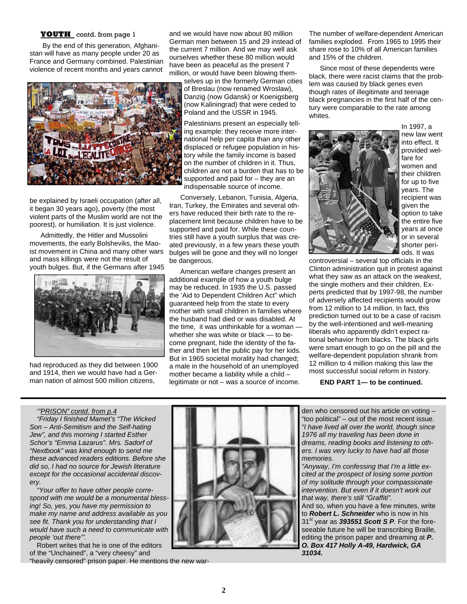## **YOUTH** contd. from page 1

 By the end of this generation, Afghanistan will have as many people under 20 as France and Germany combined. Palestinian violence of recent months and years cannot



be explained by Israeli occupation (after all, it began 30 years ago), poverty (the most violent parts of the Muslim world are not the poorest), or humiliation. It is just violence.

Admittedly, the Hitler and Mussolini movements, the early Bolsheviks, the Maoist movement in China and many other wars and mass killings were not the result of youth bulges. But, if the Germans after 1945



had reproduced as they did between 1900 and 1914, then we would have had a German nation of almost 500 million citizens,

and we would have now about 80 million German men between 15 and 29 instead of the current 7 million. And we may well ask ourselves whether these 80 million would have been as peaceful as the present 7 million, or would have been blowing them-

selves up in the formerly German cities of Breslau (now renamed Wroslaw), Danzig (now Gdansk) or Koenigsberg (now Kaliningrad) that were ceded to Poland and the USSR in 1945.

Palestinians present an especially telling example: they receive more international help per capita than any other displaced or refugee population in history while the family income is based on the number of children in it. Thus, children are not a burden that has to be supported and paid for – they are an indispensable source of income.

Conversely, Lebanon, Tunisia, Algeria, Iran, Turkey, the Emirates and several others have reduced their birth rate to the replacement limit because children have to be supported and paid for. While these countries still have a youth surplus that was created previously, in a few years these youth bulges will be gone and they will no longer be dangerous.

American welfare changes present an additional example of how a youth bulge may be reduced. In 1935 the U.S. passed the 'Aid to Dependent Children Act" which guaranteed help from the state to every mother with small children in families where the husband had died or was disabled. At the time, it was unthinkable for a woman whether she was white or black — to become pregnant, hide the identity of the father and then let the public pay for her kids. But in 1965 societal morality had changed; a male in the household of an unemployed mother became a liability while a child – legitimate or not – was a source of income.

The number of welfare-dependent American families exploded. From 1965 to 1995 their share rose to 10% of all American families and 15% of the children.

Since most of these dependents were black, there were racist claims that the problem was caused by black genes even though rates of illegitimate and teenage black pregnancies in the first half of the century were comparable to the rate among whites.



In 1997, a new law went into effect. It provided welfare for women and their children for up to five years. The recipient was given the option to take the entire five years at once or in several shorter periods. It was

controversial – several top officials in the Clinton administration quit in protest against what they saw as an attack on the weakest, the single mothers and their children. Experts predicted that by 1997-98, the number of adversely affected recipients would grow from 12 million to 14 million. In fact, this prediction turned out to be a case of racism by the well-intentioned and well-meaning liberals who apparently didn't expect rational behavior from blacks. The black girls were smart enough to go on the pill and the welfare-dependent population shrank from 12 million to 4 million making this law the most successful social reform in history.

**END PART 1— to be continued.** 

### *'"PRISON" contd. from p.4*

*"Friday I finished Mamet's "The Wicked Son – Anti-Semitism and the Self-hating Jew", and this morning I started Esther Schor's "Emma Lazarus". Mrs. Sadorf of "Nextbook" was kind enough to send me these advanced readers editions. Before she did so, I had no source for Jewish literature except for the occasional accidental discovery.* 

*"Your offer to have other people correspond with me would be a monumental blessing! So, yes, you have my permission to make my name and address available as you see fit. Thank you for understanding that I would have such a need to communicate with people 'out there'".*

Robert writes that he is one of the editors of the "Unchained", a "very cheesy" and

"heavily censored" prison paper. He mentions the new war-



den who censored out his article on voting – "too political" – out of the most recent issue. *"I have lived all over the world, though since 1976 all my traveling has been done in dreams, reading books and listening to others. I was very lucky to have had all those memories.* 

*"Anyway, I'm confessing that I'm a little excited at the prospect of losing some portion of my solitude through your compassionate intervention. But even if it doesn't work out that way, there's still "Graffiti".* 

And so, when you have a few minutes, write to *Robert L. Schneider* who is now in his 31st year as *393551 Scott S P.* For the foreseeable future he will be transcribing Braille, editing the prison paper and dreaming at *P. O. Box 417 Holly A-49, Hardwick, GA 31034.*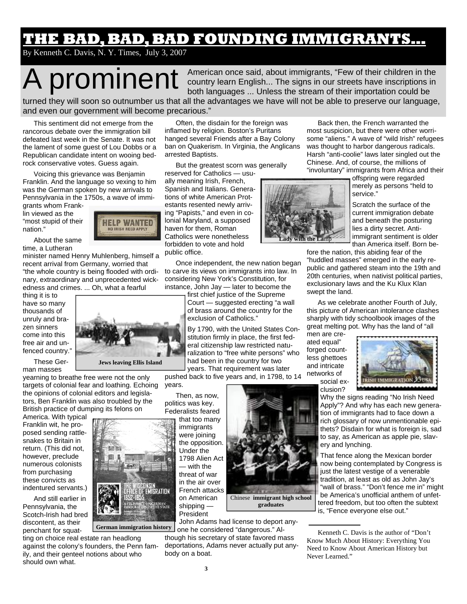## **THE BAD, BAD, BAD FOUNDING IMMIGRANTS…**

By Kenneth C. Davis, N. Y. Times, July 3, 2007

A prominent American once said, about immigrants, "Few of their children in the country learn English... The signs in our streets have inscriptions in both languages ... Unless the stream of their importation could be country learn English... The signs in our streets have inscriptions in both languages ... Unless the stream of their importation could be turned they will soon so outnumber us that all the advantages we have will not be able to preserve our language,

**Lady with the La**mp

and even our government will become precarious."

This sentiment did not emerge from the rancorous debate over the immigration bill defeated last week in the Senate. It was not the lament of some guest of Lou Dobbs or a Republican candidate intent on wooing bedrock conservative votes. Guess again.

Voicing this grievance was Benjamin Franklin. And the language so vexing to him was the German spoken by new arrivals to Pennsylvania in the 1750s, a wave of immi-

grants whom Franklin viewed as the "most stupid of their nation."



About the same time, a Lutheran

minister named Henry Muhlenberg, himself a recent arrival from Germany, worried that "the whole country is being flooded with ordinary, extraordinary and unprecedented wickedness and crimes. ... Oh, what a fearful

thing it is to have so many thousands of unruly and brazen sinners come into this free air and unfenced country."

These German masses



**Jews leaving Ellis Island** 

yearning to breathe free were not the only targets of colonial fear and loathing. Echoing the opinions of colonial editors and legislators, Ben Franklin was also troubled by the British practice of dumping its felons on

America. With typical Franklin wit, he proposed sending rattlesnakes to Britain in return. (This did not, however, preclude numerous colonists from purchasing these convicts as indentured servants.)

And still earlier in Pennsylvania, the Scotch-Irish had bred discontent, as their penchant for squat-

ting on choice real estate ran headlong against the colony's founders, the Penn family, and their genteel notions about who should own what. **German immigration history** 

Often, the disdain for the foreign was inflamed by religion. Boston's Puritans hanged several Friends after a Bay Colony ban on Quakerism. In Virginia, the Anglicans arrested Baptists.

But the greatest scorn was generally reserved for Catholics — usu-

ally meaning Irish, French, Spanish and Italians. Generations of white American Protestants resented newly arriving "Papists," and even in colonial Maryland, a supposed haven for them, Roman Catholics were nonetheless forbidden to vote and hold public office.

Once independent, the new nation began to carve its views on immigrants into law. In considering New York's Constitution, for instance, John Jay — later to become the

first chief justice of the Supreme Court — suggested erecting "a wall of brass around the country for the exclusion of Catholics."

By 1790, with the United States Constitution firmly in place, the first federal citizenship law restricted naturalization to "free white persons" who had been in the country for two years. That requirement was later

pushed back to five years and, in 1798, to 14 years.

Then, as now, politics was key.

Federalists feared that too many immigrants were joining the opposition. Under the 1798 Alien Act — with the threat of war in the air over French attacks on American shipping — President

Chinese **immigrant high school** 

John Adams had license to deport anyone he considered "dangerous." Al-

though his secretary of state favored mass deportations, Adams never actually put anybody on a boat.

Back then, the French warranted the most suspicion, but there were other worrisome "aliens." A wave of "wild Irish" refugees was thought to harbor dangerous radicals. Harsh "anti-coolie" laws later singled out the Chinese. And, of course, the millions of "involuntary" immigrants from Africa and their

offspring were regarded merely as persons "held to service."

Scratch the surface of the current immigration debate and beneath the posturing lies a dirty secret. Antiimmigrant sentiment is older than America itself. Born be-

fore the nation, this abiding fear of the "huddled masses" emerged in the early republic and gathered steam into the 19th and 20th centuries, when nativist political parties, exclusionary laws and the Ku Klux Klan swept the land.

As we celebrate another Fourth of July, this picture of American intolerance clashes sharply with tidy schoolbook images of the great melting pot. Why has the land of "all

men are created equal" forged countless ghettoes and intricate networks of social ex-



clusion? Why the signs reading "No Irish Need Apply"? And why has each new generation of immigrants had to face down a rich glossary of now unmentionable epithets? Disdain for what is foreign is, sad to say, as American as apple pie, slavery and lynching.

That fence along the Mexican border now being contemplated by Congress is just the latest vestige of a venerable tradition, at least as old as John Jay's "wall of brass." "Don't fence me in" might be America's unofficial anthem of unfettered freedom, but too often the subtext is, "Fence everyone else out."

Kenneth C. Davis is the author of "Don't Know Much About History: Everything You Need to Know About American History but Never Learned."



**3**